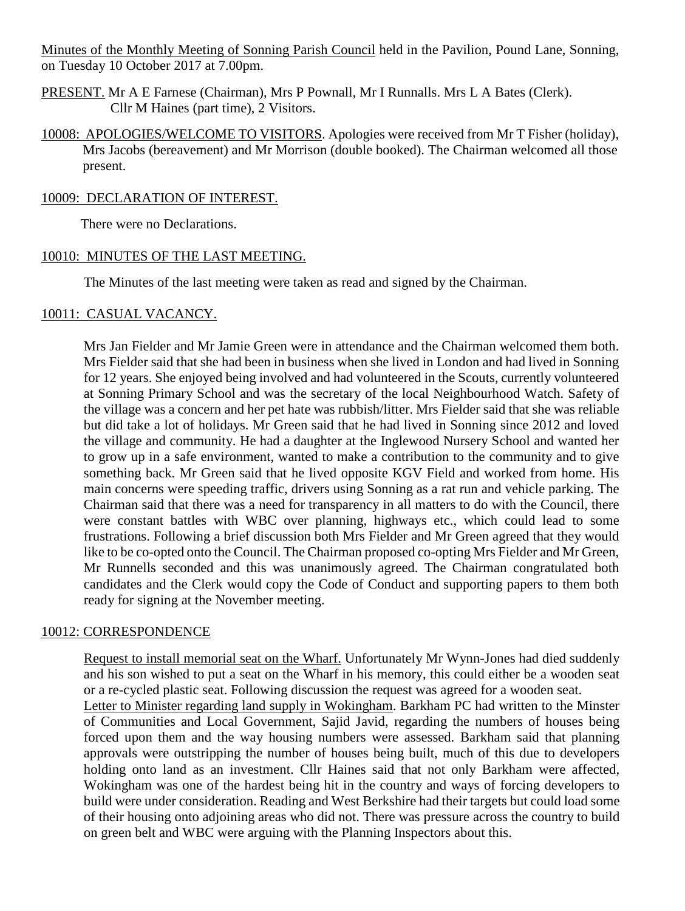Minutes of the Monthly Meeting of Sonning Parish Council held in the Pavilion, Pound Lane, Sonning, on Tuesday 10 October 2017 at 7.00pm.

- PRESENT. Mr A E Farnese (Chairman), Mrs P Pownall, Mr I Runnalls. Mrs L A Bates (Clerk). Cllr M Haines (part time), 2 Visitors.
- 10008: APOLOGIES/WELCOME TO VISITORS. Apologies were received from Mr T Fisher (holiday), Mrs Jacobs (bereavement) and Mr Morrison (double booked). The Chairman welcomed all those present.

#### 10009: DECLARATION OF INTEREST.

There were no Declarations.

#### 10010: MINUTES OF THE LAST MEETING.

The Minutes of the last meeting were taken as read and signed by the Chairman.

#### 10011: CASUAL VACANCY.

Mrs Jan Fielder and Mr Jamie Green were in attendance and the Chairman welcomed them both. Mrs Fielder said that she had been in business when she lived in London and had lived in Sonning for 12 years. She enjoyed being involved and had volunteered in the Scouts, currently volunteered at Sonning Primary School and was the secretary of the local Neighbourhood Watch. Safety of the village was a concern and her pet hate was rubbish/litter. Mrs Fielder said that she was reliable but did take a lot of holidays. Mr Green said that he had lived in Sonning since 2012 and loved the village and community. He had a daughter at the Inglewood Nursery School and wanted her to grow up in a safe environment, wanted to make a contribution to the community and to give something back. Mr Green said that he lived opposite KGV Field and worked from home. His main concerns were speeding traffic, drivers using Sonning as a rat run and vehicle parking. The Chairman said that there was a need for transparency in all matters to do with the Council, there were constant battles with WBC over planning, highways etc., which could lead to some frustrations. Following a brief discussion both Mrs Fielder and Mr Green agreed that they would like to be co-opted onto the Council. The Chairman proposed co-opting Mrs Fielder and Mr Green, Mr Runnells seconded and this was unanimously agreed. The Chairman congratulated both candidates and the Clerk would copy the Code of Conduct and supporting papers to them both ready for signing at the November meeting.

#### 10012: CORRESPONDENCE

Request to install memorial seat on the Wharf. Unfortunately Mr Wynn-Jones had died suddenly and his son wished to put a seat on the Wharf in his memory, this could either be a wooden seat or a re-cycled plastic seat. Following discussion the request was agreed for a wooden seat. Letter to Minister regarding land supply in Wokingham. Barkham PC had written to the Minster of Communities and Local Government, Sajid Javid, regarding the numbers of houses being forced upon them and the way housing numbers were assessed. Barkham said that planning approvals were outstripping the number of houses being built, much of this due to developers holding onto land as an investment. Cllr Haines said that not only Barkham were affected, Wokingham was one of the hardest being hit in the country and ways of forcing developers to build were under consideration. Reading and West Berkshire had their targets but could load some of their housing onto adjoining areas who did not. There was pressure across the country to build on green belt and WBC were arguing with the Planning Inspectors about this.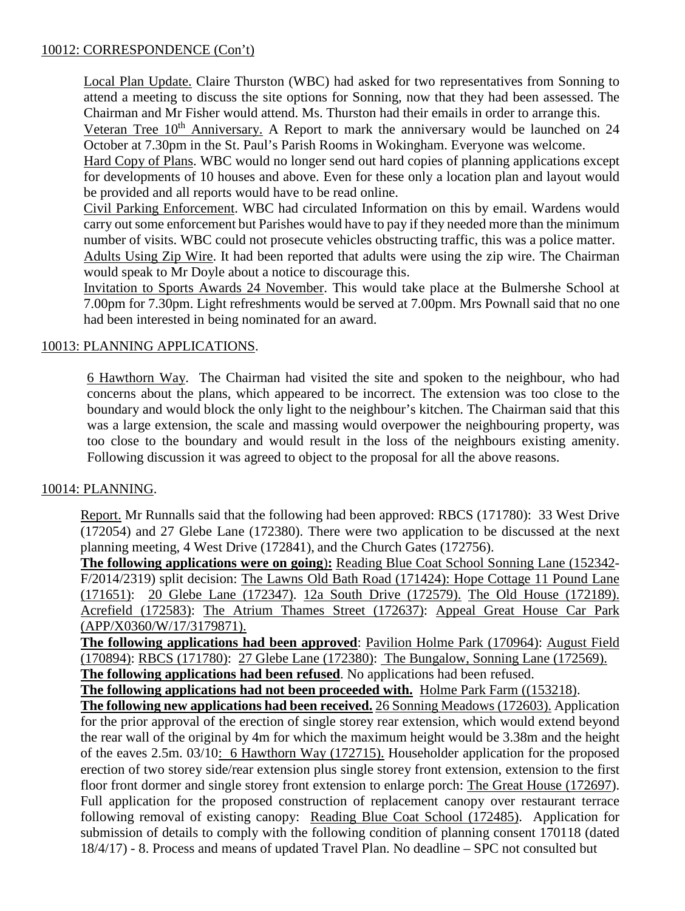## 10012: CORRESPONDENCE (Con't)

Local Plan Update. Claire Thurston (WBC) had asked for two representatives from Sonning to attend a meeting to discuss the site options for Sonning, now that they had been assessed. The Chairman and Mr Fisher would attend. Ms. Thurston had their emails in order to arrange this. Veteran Tree  $10<sup>th</sup>$  Anniversary. A Report to mark the anniversary would be launched on 24 October at 7.30pm in the St. Paul's Parish Rooms in Wokingham. Everyone was welcome. Hard Copy of Plans. WBC would no longer send out hard copies of planning applications except

for developments of 10 houses and above. Even for these only a location plan and layout would be provided and all reports would have to be read online.

Civil Parking Enforcement. WBC had circulated Information on this by email. Wardens would carry out some enforcement but Parishes would have to pay if they needed more than the minimum number of visits. WBC could not prosecute vehicles obstructing traffic, this was a police matter.

Adults Using Zip Wire. It had been reported that adults were using the zip wire. The Chairman would speak to Mr Doyle about a notice to discourage this.

Invitation to Sports Awards 24 November. This would take place at the Bulmershe School at 7.00pm for 7.30pm. Light refreshments would be served at 7.00pm. Mrs Pownall said that no one had been interested in being nominated for an award.

# 10013: PLANNING APPLICATIONS.

6 Hawthorn Way. The Chairman had visited the site and spoken to the neighbour, who had concerns about the plans, which appeared to be incorrect. The extension was too close to the boundary and would block the only light to the neighbour's kitchen. The Chairman said that this was a large extension, the scale and massing would overpower the neighbouring property, was too close to the boundary and would result in the loss of the neighbours existing amenity. Following discussion it was agreed to object to the proposal for all the above reasons.

#### 10014: PLANNING.

Report. Mr Runnalls said that the following had been approved: RBCS (171780): 33 West Drive (172054) and 27 Glebe Lane (172380). There were two application to be discussed at the next planning meeting, 4 West Drive (172841), and the Church Gates (172756).

**The following applications were on going**)**:** Reading Blue Coat School Sonning Lane (152342- F/2014/2319) split decision: The Lawns Old Bath Road (171424): Hope Cottage 11 Pound Lane (171651): 20 Glebe Lane (172347). 12a South Drive (172579). The Old House (172189). Acrefield (172583): The Atrium Thames Street (172637): Appeal Great House Car Park (APP/X0360/W/17/3179871).

**The following applications had been approved**: Pavilion Holme Park (170964): August Field (170894): RBCS (171780): 27 Glebe Lane (172380): The Bungalow, Sonning Lane (172569).

**The following applications had been refused**. No applications had been refused.

**The following applications had not been proceeded with.** Holme Park Farm ((153218).

**The following new applications had been received.** 26 Sonning Meadows (172603). Application for the prior approval of the erection of single storey rear extension, which would extend beyond the rear wall of the original by 4m for which the maximum height would be 3.38m and the height of the eaves 2.5m. 03/10: 6 Hawthorn Way (172715). Householder application for the proposed erection of two storey side/rear extension plus single storey front extension, extension to the first floor front dormer and single storey front extension to enlarge porch: The Great House (172697). Full application for the proposed construction of replacement canopy over restaurant terrace following removal of existing canopy: Reading Blue Coat School (172485). Application for submission of details to comply with the following condition of planning consent 170118 (dated 18/4/17) - 8. Process and means of updated Travel Plan. No deadline – SPC not consulted but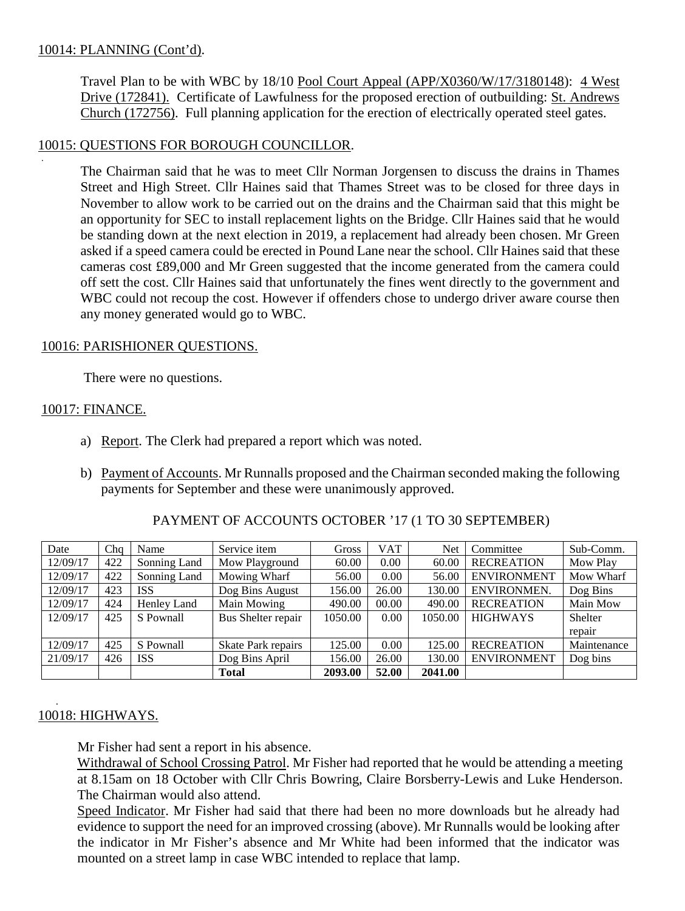### 10014: PLANNING (Cont'd).

.

Travel Plan to be with WBC by 18/10 Pool Court Appeal (APP/X0360/W/17/3180148): 4 West Drive (172841). Certificate of Lawfulness for the proposed erection of outbuilding: St. Andrews Church (172756). Full planning application for the erection of electrically operated steel gates.

## 10015: QUESTIONS FOR BOROUGH COUNCILLOR.

The Chairman said that he was to meet Cllr Norman Jorgensen to discuss the drains in Thames Street and High Street. Cllr Haines said that Thames Street was to be closed for three days in November to allow work to be carried out on the drains and the Chairman said that this might be an opportunity for SEC to install replacement lights on the Bridge. Cllr Haines said that he would be standing down at the next election in 2019, a replacement had already been chosen. Mr Green asked if a speed camera could be erected in Pound Lane near the school. Cllr Haines said that these cameras cost £89,000 and Mr Green suggested that the income generated from the camera could off sett the cost. Cllr Haines said that unfortunately the fines went directly to the government and WBC could not recoup the cost. However if offenders chose to undergo driver aware course then any money generated would go to WBC.

#### 10016: PARISHIONER QUESTIONS.

There were no questions.

### 10017: FINANCE.

- a) Report. The Clerk had prepared a report which was noted.
- b) Payment of Accounts. Mr Runnalls proposed and the Chairman seconded making the following payments for September and these were unanimously approved.

| Date     | Cha | Name         | Service item       | Gross   | VAT   | Net     | Committee          | Sub-Comm.   |
|----------|-----|--------------|--------------------|---------|-------|---------|--------------------|-------------|
| 12/09/17 | 422 | Sonning Land | Mow Playground     | 60.00   | 0.00  | 60.00   | <b>RECREATION</b>  | Mow Play    |
| 12/09/17 | 422 | Sonning Land | Mowing Wharf       | 56.00   | 0.00  | 56.00   | <b>ENVIRONMENT</b> | Mow Wharf   |
| 12/09/17 | 423 | <b>ISS</b>   | Dog Bins August    | 156.00  | 26.00 | 130.00  | ENVIRONMEN.        | Dog Bins    |
| 12/09/17 | 424 | Henley Land  | Main Mowing        | 490.00  | 00.00 | 490.00  | <b>RECREATION</b>  | Main Mow    |
| 12/09/17 | 425 | S Pownall    | Bus Shelter repair | 1050.00 | 0.00  | 1050.00 | <b>HIGHWAYS</b>    | Shelter     |
|          |     |              |                    |         |       |         |                    | repair      |
| 12/09/17 | 425 | S Pownall    | Skate Park repairs | 125.00  | 0.00  | 125.00  | <b>RECREATION</b>  | Maintenance |
| 21/09/17 | 426 | <b>ISS</b>   | Dog Bins April     | 156.00  | 26.00 | 130.00  | <b>ENVIRONMENT</b> | Dog bins    |
|          |     |              | Total              | 2093.00 | 52.00 | 2041.00 |                    |             |

#### PAYMENT OF ACCOUNTS OCTOBER '17 (1 TO 30 SEPTEMBER)

#### 10018: HIGHWAYS.

.

Mr Fisher had sent a report in his absence.

Withdrawal of School Crossing Patrol. Mr Fisher had reported that he would be attending a meeting at 8.15am on 18 October with Cllr Chris Bowring, Claire Borsberry-Lewis and Luke Henderson. The Chairman would also attend.

Speed Indicator. Mr Fisher had said that there had been no more downloads but he already had evidence to support the need for an improved crossing (above). Mr Runnalls would be looking after the indicator in Mr Fisher's absence and Mr White had been informed that the indicator was mounted on a street lamp in case WBC intended to replace that lamp.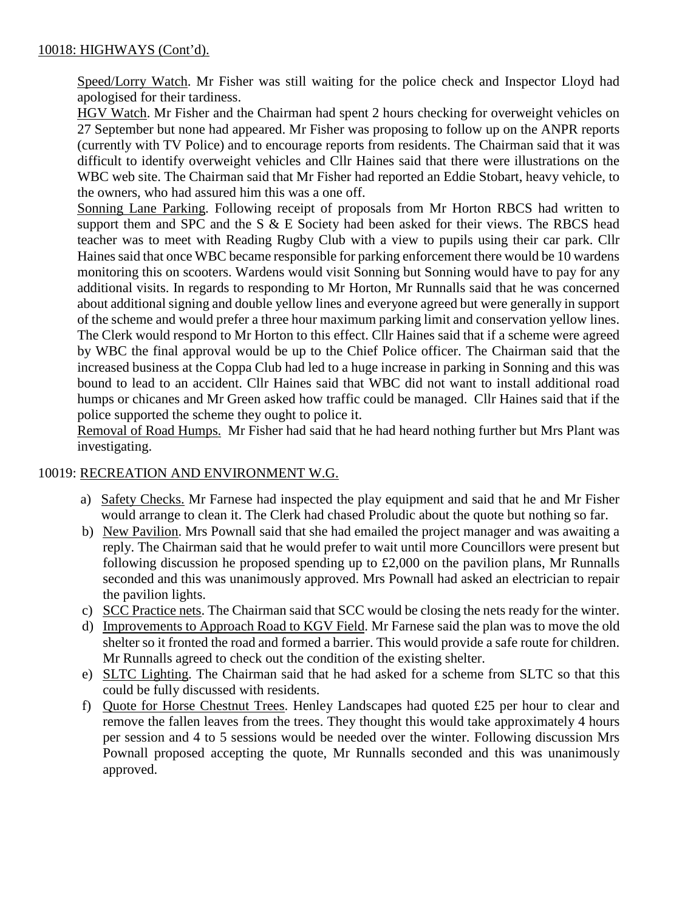## 10018: HIGHWAYS (Cont'd).

Speed/Lorry Watch. Mr Fisher was still waiting for the police check and Inspector Lloyd had apologised for their tardiness.

HGV Watch. Mr Fisher and the Chairman had spent 2 hours checking for overweight vehicles on 27 September but none had appeared. Mr Fisher was proposing to follow up on the ANPR reports (currently with TV Police) and to encourage reports from residents. The Chairman said that it was difficult to identify overweight vehicles and Cllr Haines said that there were illustrations on the WBC web site. The Chairman said that Mr Fisher had reported an Eddie Stobart, heavy vehicle, to the owners, who had assured him this was a one off.

Sonning Lane Parking. Following receipt of proposals from Mr Horton RBCS had written to support them and SPC and the S & E Society had been asked for their views. The RBCS head teacher was to meet with Reading Rugby Club with a view to pupils using their car park. Cllr Haines said that once WBC became responsible for parking enforcement there would be 10 wardens monitoring this on scooters. Wardens would visit Sonning but Sonning would have to pay for any additional visits. In regards to responding to Mr Horton, Mr Runnalls said that he was concerned about additional signing and double yellow lines and everyone agreed but were generally in support of the scheme and would prefer a three hour maximum parking limit and conservation yellow lines. The Clerk would respond to Mr Horton to this effect. Cllr Haines said that if a scheme were agreed by WBC the final approval would be up to the Chief Police officer. The Chairman said that the increased business at the Coppa Club had led to a huge increase in parking in Sonning and this was bound to lead to an accident. Cllr Haines said that WBC did not want to install additional road humps or chicanes and Mr Green asked how traffic could be managed. Cllr Haines said that if the police supported the scheme they ought to police it.

Removal of Road Humps. Mr Fisher had said that he had heard nothing further but Mrs Plant was investigating.

#### 10019: RECREATION AND ENVIRONMENT W.G.

- a) Safety Checks. Mr Farnese had inspected the play equipment and said that he and Mr Fisher would arrange to clean it. The Clerk had chased Proludic about the quote but nothing so far.
- b) New Pavilion. Mrs Pownall said that she had emailed the project manager and was awaiting a reply. The Chairman said that he would prefer to wait until more Councillors were present but following discussion he proposed spending up to £2,000 on the pavilion plans, Mr Runnalls seconded and this was unanimously approved. Mrs Pownall had asked an electrician to repair the pavilion lights.
- c) SCC Practice nets. The Chairman said that SCC would be closing the nets ready for the winter.
- d) Improvements to Approach Road to KGV Field. Mr Farnese said the plan was to move the old shelter so it fronted the road and formed a barrier. This would provide a safe route for children. Mr Runnalls agreed to check out the condition of the existing shelter.
- e) SLTC Lighting. The Chairman said that he had asked for a scheme from SLTC so that this could be fully discussed with residents.
- f) Quote for Horse Chestnut Trees. Henley Landscapes had quoted £25 per hour to clear and remove the fallen leaves from the trees. They thought this would take approximately 4 hours per session and 4 to 5 sessions would be needed over the winter. Following discussion Mrs Pownall proposed accepting the quote, Mr Runnalls seconded and this was unanimously approved.